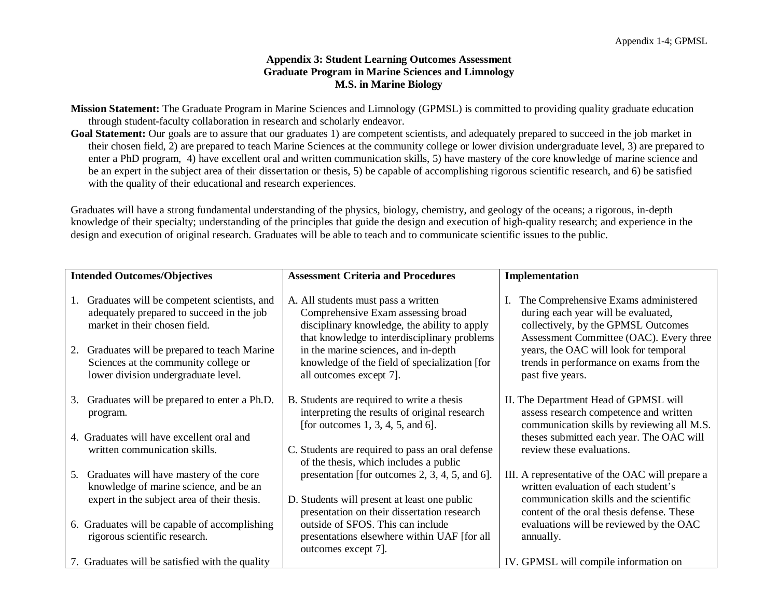## **Appendix 3: Student Learning Outcomes Assessment Graduate Program in Marine Sciences and Limnology M.S. in Marine Biology**

**Mission Statement:** The Graduate Program in Marine Sciences and Limnology (GPMSL) is committed to providing quality graduate education through student-faculty collaboration in research and scholarly endeavor.

Goal Statement: Our goals are to assure that our graduates 1) are competent scientists, and adequately prepared to succeed in the job market in their chosen field, 2) are prepared to teach Marine Sciences at the community college or lower division undergraduate level, 3) are prepared to enter a PhD program, 4) have excellent oral and written communication skills, 5) have mastery of the core knowledge of marine science and be an expert in the subject area of their dissertation or thesis, 5) be capable of accomplishing rigorous scientific research, and 6) be satisfied with the quality of their educational and research experiences.

Graduates will have a strong fundamental understanding of the physics, biology, chemistry, and geology of the oceans; a rigorous, in-depth knowledge of their specialty; understanding of the principles that guide the design and execution of high-quality research; and experience in the design and execution of original research. Graduates will be able to teach and to communicate scientific issues to the public.

| <b>Intended Outcomes/Objectives</b> |                                                                                                                               | <b>Assessment Criteria and Procedures</b>                                                                                                                                                               | Implementation                                                                                                                                                |
|-------------------------------------|-------------------------------------------------------------------------------------------------------------------------------|---------------------------------------------------------------------------------------------------------------------------------------------------------------------------------------------------------|---------------------------------------------------------------------------------------------------------------------------------------------------------------|
| 1.                                  | Graduates will be competent scientists, and<br>adequately prepared to succeed in the job<br>market in their chosen field.     | A. All students must pass a written<br>Comprehensive Exam assessing broad<br>disciplinary knowledge, the ability to apply<br>that knowledge to interdisciplinary problems                               | The Comprehensive Exams administered<br>during each year will be evaluated,<br>collectively, by the GPMSL Outcomes<br>Assessment Committee (OAC). Every three |
| 2.                                  | Graduates will be prepared to teach Marine<br>Sciences at the community college or<br>lower division undergraduate level.     | in the marine sciences, and in-depth<br>knowledge of the field of specialization [for<br>all outcomes except 7].                                                                                        | years, the OAC will look for temporal<br>trends in performance on exams from the<br>past five years.                                                          |
| 3.                                  | Graduates will be prepared to enter a Ph.D.<br>program.                                                                       | B. Students are required to write a thesis<br>interpreting the results of original research<br>[for outcomes $1, 3, 4, 5,$ and 6].                                                                      | II. The Department Head of GPMSL will<br>assess research competence and written<br>communication skills by reviewing all M.S.                                 |
|                                     | 4. Graduates will have excellent oral and<br>written communication skills.                                                    | C. Students are required to pass an oral defense<br>of the thesis, which includes a public                                                                                                              | theses submitted each year. The OAC will<br>review these evaluations.                                                                                         |
| 5.                                  | Graduates will have mastery of the core<br>knowledge of marine science, and be an                                             | presentation [for outcomes 2, 3, 4, 5, and 6].                                                                                                                                                          | III. A representative of the OAC will prepare a<br>written evaluation of each student's                                                                       |
|                                     | expert in the subject area of their thesis.<br>6. Graduates will be capable of accomplishing<br>rigorous scientific research. | D. Students will present at least one public<br>presentation on their dissertation research<br>outside of SFOS. This can include<br>presentations elsewhere within UAF [for all]<br>outcomes except 7]. | communication skills and the scientific<br>content of the oral thesis defense. These<br>evaluations will be reviewed by the OAC<br>annually.                  |
|                                     | 7. Graduates will be satisfied with the quality                                                                               |                                                                                                                                                                                                         | IV. GPMSL will compile information on                                                                                                                         |